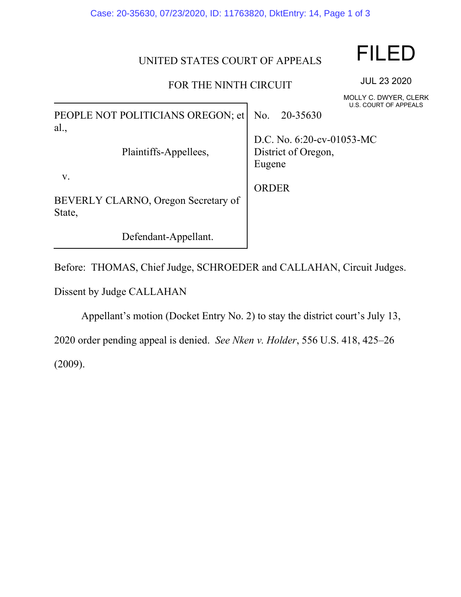## UNITED STATES COURT OF APPEALS

## FOR THE NINTH CIRCUIT

FILED

JUL 23 2020

MOLLY C. DWYER, CLERK U.S. COURT OF APPEALS

| PEOPLE NOT POLITICIANS OREGON; et<br>al.,           | 0.0. COUNT OF ALL LAL<br>No.<br>20-35630                   |
|-----------------------------------------------------|------------------------------------------------------------|
| Plaintiffs-Appellees,                               | D.C. No. 6:20-cv-01053-MC<br>District of Oregon,<br>Eugene |
| V.<br>BEVERLY CLARNO, Oregon Secretary of<br>State, | <b>ORDER</b>                                               |
| Defendant-Appellant.                                |                                                            |

Before: THOMAS, Chief Judge, SCHROEDER and CALLAHAN, Circuit Judges.

Dissent by Judge CALLAHAN

Appellant's motion (Docket Entry No. 2) to stay the district court's July 13,

2020 order pending appeal is denied. *See Nken v. Holder*, 556 U.S. 418, 425–26

(2009).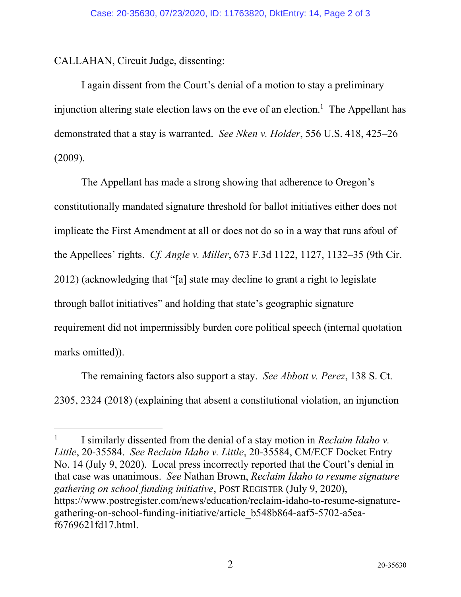CALLAHAN, Circuit Judge, dissenting:

I again dissent from the Court's denial of a motion to stay a preliminary injunction altering state election laws on the eve of an election.<sup>1</sup> The Appellant has demonstrated that a stay is warranted. *See Nken v. Holder*, 556 U.S. 418, 425–26 (2009).

The Appellant has made a strong showing that adherence to Oregon's constitutionally mandated signature threshold for ballot initiatives either does not implicate the First Amendment at all or does not do so in a way that runs afoul of the Appellees' rights. *Cf. Angle v. Miller*, 673 F.3d 1122, 1127, 1132–35 (9th Cir. 2012) (acknowledging that "[a] state may decline to grant a right to legislate through ballot initiatives" and holding that state's geographic signature requirement did not impermissibly burden core political speech (internal quotation marks omitted)).

The remaining factors also support a stay. *See Abbott v. Perez*, 138 S. Ct. 2305, 2324 (2018) (explaining that absent a constitutional violation, an injunction

<sup>1</sup> I similarly dissented from the denial of a stay motion in *Reclaim Idaho v. Little*, 20-35584. *See Reclaim Idaho v. Little*, 20-35584, CM/ECF Docket Entry No. 14 (July 9, 2020). Local press incorrectly reported that the Court's denial in that case was unanimous. *See* Nathan Brown, *Reclaim Idaho to resume signature gathering on school funding initiative*, POST REGISTER (July 9, 2020), https://www.postregister.com/news/education/reclaim-idaho-to-resume-signaturegathering-on-school-funding-initiative/article\_b548b864-aaf5-5702-a5eaf6769621fd17.html.